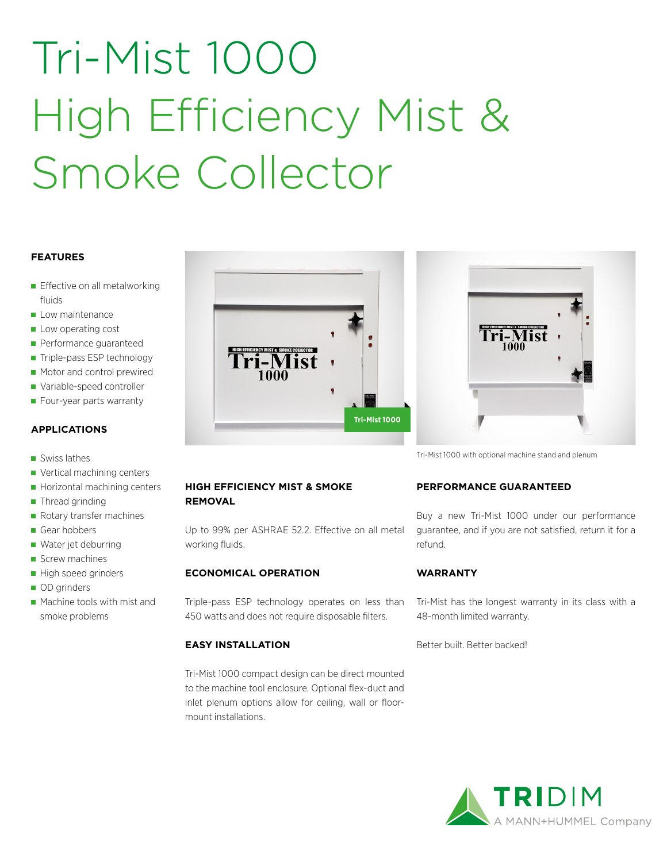# Tri-Mist 1000 High Efficiency Mist & Smoke Collector

#### **FEATURES**

- **Effective on all metalworking** fluids
- Low maintenance
- Low operating cost
- Performance guaranteed
- Triple-pass ESP technology
- Motor and control prewired
- Variable-speed controller
- Four-year parts warranty

#### **APPLICATIONS**

- Swiss lathes
- Vertical machining centers
- Horizontal machining centers
- Thread grinding
- Rotary transfer machines
- Gear hobbers
- Water jet deburring
- Screw machines
- High speed grinders
- OD grinders
- **Machine tools with mist and** smoke problems



#### **HIGH EFFICIENCY MIST & SMOKE REMOVAL**

Up to 99% per ASHRAE 52.2. Effective on all metal working fluids.

#### **ECONOMICAL OPERATION**

Triple-pass ESP technology operates on less than 450 watts and does not require disposable filters.

#### **EASY INSTALLATION**

Tri-Mist 1000 compact design can be direct mounted to the machine tool enclosure. Optional flex-duct and inlet plenum options allow for ceiling, wall or floormount installations.



Tri-Mist 1000 with optional machine stand and plenum

#### **PERFORMANCE GUARANTEED**

Buy a new Tri-Mist 1000 under our performance guarantee, and if you are not satisfied, return it for a refund.

#### **WARRANTY**

Tri-Mist has the longest warranty in its class with a 48-month limited warranty.

Better built. Better backed!